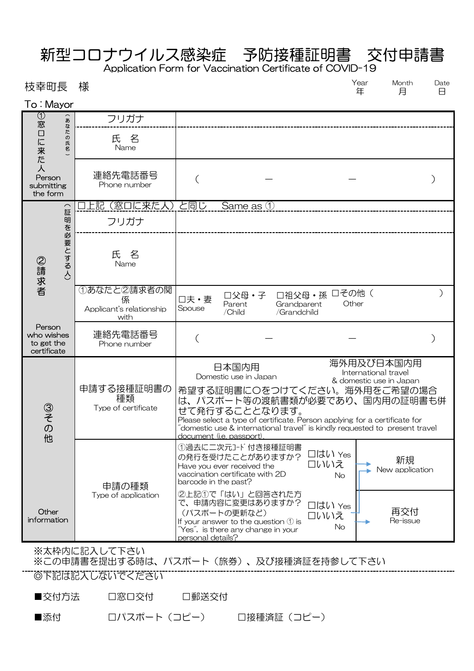## 新型コロナウイルス感染症 予防接種証明書 交付申請書

Application Form for Vaccination Certificate of COVID-19

Date 日 Year 年 あたち 枝幸町長 様 しょうしゃ はんじゃく しゅうしゃ インタン Nonth Year Month

| To:Mayor                                                                                                  |                                                      |                                                                                                                                                                                                                                                                                                            |                                                               |
|-----------------------------------------------------------------------------------------------------------|------------------------------------------------------|------------------------------------------------------------------------------------------------------------------------------------------------------------------------------------------------------------------------------------------------------------------------------------------------------------|---------------------------------------------------------------|
| $_{\tiny\textcircled{\tiny{1}}}$<br>あ<br>窓<br>こなたの<br>口に来た<br>氏名<br>人<br>Person<br>submitting<br>the form | フリガナ                                                 |                                                                                                                                                                                                                                                                                                            |                                                               |
|                                                                                                           | 氏名<br>Name                                           |                                                                                                                                                                                                                                                                                                            |                                                               |
|                                                                                                           | 連絡先電話番号<br>Phone number                              |                                                                                                                                                                                                                                                                                                            |                                                               |
| $\overline{\phantom{0}}$<br>証<br>明を必要とする人)<br>②請求者                                                        | (窓口に来た人)<br>上記                                       | と同じ<br>Same as 1                                                                                                                                                                                                                                                                                           |                                                               |
|                                                                                                           | フリガナ                                                 |                                                                                                                                                                                                                                                                                                            |                                                               |
|                                                                                                           | 氏<br>名<br>Name                                       |                                                                                                                                                                                                                                                                                                            |                                                               |
|                                                                                                           | ①あなたと2請求者の関<br>係<br>Applicant's relationship<br>with | 口祖父母·孫<br>□父母・子<br>口夫·妻<br>Parent<br>Grandparent<br>Spouse<br>/Child<br>/Grandchild                                                                                                                                                                                                                        | 口その他(<br>Other                                                |
| Person<br>who wishes<br>to get the<br>certificate                                                         | 連絡先電話番号<br>Phone number                              |                                                                                                                                                                                                                                                                                                            |                                                               |
| ③その他                                                                                                      | 申請する接種証明書の<br>種類<br>Type of certificate              | 日本国内用<br>Domestic use in Japan<br>希望する証明書に〇をつけてください。海外用をご希望の場合<br>は、パスポート等の渡航書類が必要であり、国内用の証明書も併<br>せて発行することとなります。<br>Please select a type of certificate. Person applying for a certificate for<br>"domestic use & international travel" is kindly requested to present travel<br>document (i.e. passport) | 海外用及び日本国内用<br>International travel<br>& domestic use in Japan |
|                                                                                                           | 申請の種類<br>Type of application                         | 1過去に二次元コード 付き接種証明書<br>口はい Yes<br>の発行を受けたことがありますか?<br>ロいいえ<br>Have you ever received the<br>vaccination certificate with 2D<br>No<br>barcode in the past?                                                                                                                                                   | 新規<br>New application                                         |
| Other<br>information                                                                                      |                                                      | 2上記1で「はい」と回答された方<br>で、申請内容に変更はありますか?<br>□はい Yes<br>(パスポートの更新など)<br>ロいいえ<br>If your answer to the question $\mathcal{D}$ is<br>No<br>"Yes", is there any change in your<br>personal details?                                                                                                                | 再交付<br>Re-issue                                               |

※太枠内に記入して下さい

※この申請書を提出する時は、パスポート(旅券)、及び接種済証を持参して下さい

◎下記は記入しないでください

■交付方法 □窓口交付 □郵送交付

■添付 ロパスポート(コピー) 口接種済証(コピー)